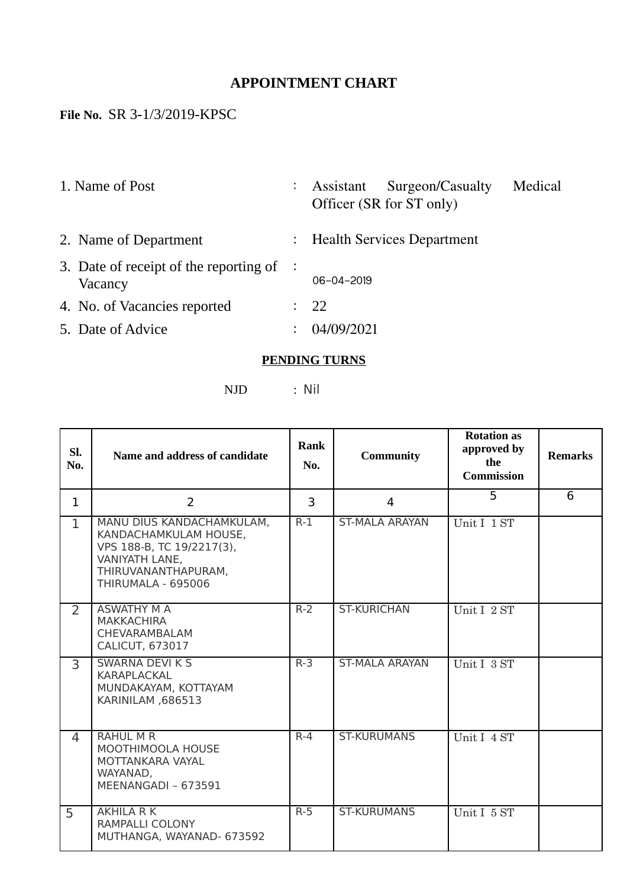## **APPOINTMENT CHART**

## **File No.** SR 3-1/3/2019-KPSC

|                                                     | Surgeon/Casualty<br>Assistant<br>Officer (SR for ST only) | Medical                                        |
|-----------------------------------------------------|-----------------------------------------------------------|------------------------------------------------|
|                                                     |                                                           |                                                |
| 3. Date of receipt of the reporting of $\therefore$ | $06 - 04 - 2019$                                          |                                                |
|                                                     | 22                                                        |                                                |
|                                                     | 04/09/2021                                                |                                                |
|                                                     |                                                           | $\ddot{\cdot}$<br>: Health Services Department |

## **PENDING TURNS**

NJD : Nil

| SI.<br>No.     | Name and address of candidate                                                                                                                  | <b>Rank</b><br>No. | <b>Community</b>      | <b>Rotation as</b><br>approved by<br>the<br><b>Commission</b> | <b>Remarks</b> |
|----------------|------------------------------------------------------------------------------------------------------------------------------------------------|--------------------|-----------------------|---------------------------------------------------------------|----------------|
| $\mathbf{1}$   | $\overline{2}$                                                                                                                                 | 3                  | $\overline{4}$        | 5                                                             | 6              |
| $\mathbf{1}$   | MANU DIUS KANDACHAMKULAM,<br>KANDACHAMKULAM HOUSE,<br>VPS 188-B, TC 19/2217(3),<br>VANIYATH LANE,<br>THIRUVANANTHAPURAM,<br>THIRUMALA - 695006 | $R-1$              | <b>ST-MALA ARAYAN</b> | Unit I 1 ST                                                   |                |
| $\overline{2}$ | <b>ASWATHY M A</b><br><b>MAKKACHIRA</b><br>CHEVARAMBALAM<br><b>CALICUT, 673017</b>                                                             | $R-2$              | <b>ST-KURICHAN</b>    | Unit I 2 ST                                                   |                |
| $\overline{3}$ | <b>SWARNA DEVI K S</b><br>KARAPLACKAL<br>MUNDAKAYAM, KOTTAYAM<br>KARINILAM, 686513                                                             | $R-3$              | <b>ST-MALA ARAYAN</b> | Unit I 3 ST                                                   |                |
| 4              | <b>RAHUL M R</b><br><b>MOOTHIMOOLA HOUSE</b><br>MOTTANKARA VAYAL<br>WAYANAD,<br>MEENANGADI - 673591                                            | $R - 4$            | <b>ST-KURUMANS</b>    | Unit I 4 ST                                                   |                |
| 5              | <b>AKHILA R K</b><br>RAMPALLI COLONY<br>MUTHANGA, WAYANAD- 673592                                                                              | $R-5$              | <b>ST-KURUMANS</b>    | Unit I 5 ST                                                   |                |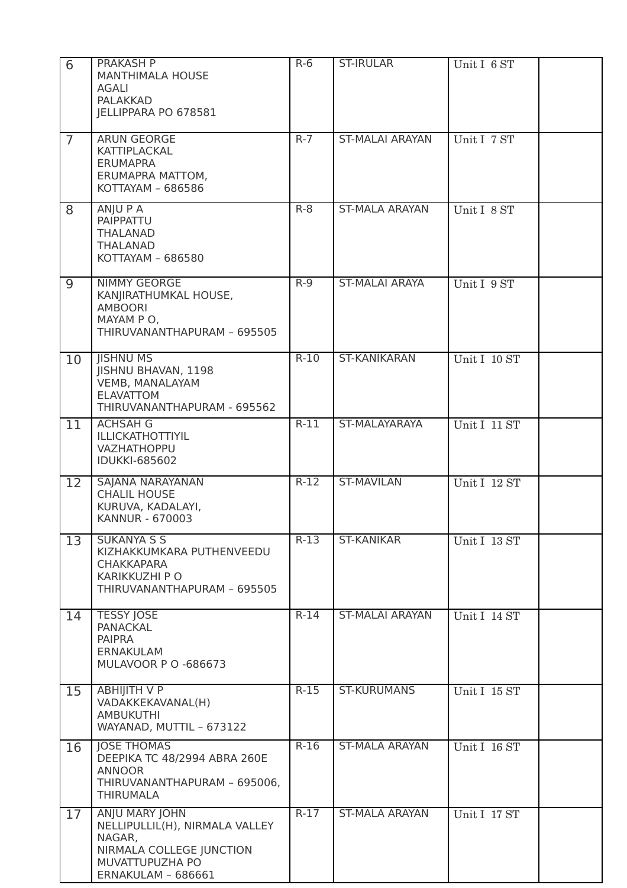| 6              | PRAKASH P<br><b>MANTHIMALA HOUSE</b><br>AGALI<br><b>PALAKKAD</b><br>JELLIPPARA PO 678581                                        | $R-6$  | <b>ST-IRULAR</b>       | Unit I 6 ST  |
|----------------|---------------------------------------------------------------------------------------------------------------------------------|--------|------------------------|--------------|
| $\overline{7}$ | ARUN GEORGE<br>KATTIPLACKAL<br><b>ERUMAPRA</b><br>ERUMAPRA MATTOM,<br>KOTTAYAM - 686586                                         | $R-7$  | <b>ST-MALAI ARAYAN</b> | Unit I 7 ST  |
| 8              | ANJU P A<br>PAIPPATTU<br><b>THALANAD</b><br><b>THALANAD</b><br>KOTTAYAM - 686580                                                | $R-8$  | <b>ST-MALA ARAYAN</b>  | Unit I 8 ST  |
| 9              | <b>NIMMY GEORGE</b><br>KANJIRATHUMKAL HOUSE,<br><b>AMBOORI</b><br>MAYAM P O,<br>THIRUVANANTHAPURAM - 695505                     | $R-9$  | <b>ST-MALAI ARAYA</b>  | Unit I 9 ST  |
| 10             | <b>IISHNU MS</b><br><b>JISHNU BHAVAN, 1198</b><br><b>VEMB, MANALAYAM</b><br><b>ELAVATTOM</b><br>THIRUVANANTHAPURAM - 695562     | $R-10$ | <b>ST-KANIKARAN</b>    | Unit I 10 ST |
| 11             | <b>ACHSAH G</b><br>ILLICKATHOTTIYIL<br>VAZHATHOPPU<br><b>IDUKKI-685602</b>                                                      | $R-11$ | ST-MALAYARAYA          | Unit I 11 ST |
| 12             | SAJANA NARAYANAN<br><b>CHALIL HOUSE</b><br>KURUVA, KADALAYI,<br>KANNUR - 670003                                                 | $R-12$ | <b>ST-MAVILAN</b>      | Unit I 12 ST |
| 13             | <b>SUKANYA S S</b><br>KIZHAKKUMKARA PUTHENVEEDU<br><b>CHAKKAPARA</b><br><b>KARIKKUZHI PO</b><br>THIRUVANANTHAPURAM - 695505     | $R-13$ | <b>ST-KANIKAR</b>      | Unit I 13 ST |
| 14             | <b>TESSY JOSE</b><br><b>PANACKAL</b><br><b>PAIPRA</b><br><b>ERNAKULAM</b><br><b>MULAVOOR P O -686673</b>                        | $R-14$ | <b>ST-MALAI ARAYAN</b> | Unit I 14 ST |
| 15             | <b>ABHIJITH V P</b><br>VADAKKEKAVANAL(H)<br><b>AMBUKUTHI</b><br>WAYANAD, MUTTIL - 673122                                        | $R-15$ | <b>ST-KURUMANS</b>     | Unit I 15 ST |
| 16             | <b>JOSE THOMAS</b><br>DEEPIKA TC 48/2994 ABRA 260E<br><b>ANNOOR</b><br>THIRUVANANTHAPURAM - 695006,<br><b>THIRUMALA</b>         | $R-16$ | <b>ST-MALA ARAYAN</b>  | Unit I 16 ST |
| 17             | ANJU MARY JOHN<br>NELLIPULLIL(H), NIRMALA VALLEY<br>NAGAR,<br>NIRMALA COLLEGE JUNCTION<br>MUVATTUPUZHA PO<br>ERNAKULAM - 686661 | $R-17$ | <b>ST-MALA ARAYAN</b>  | Unit I 17 ST |